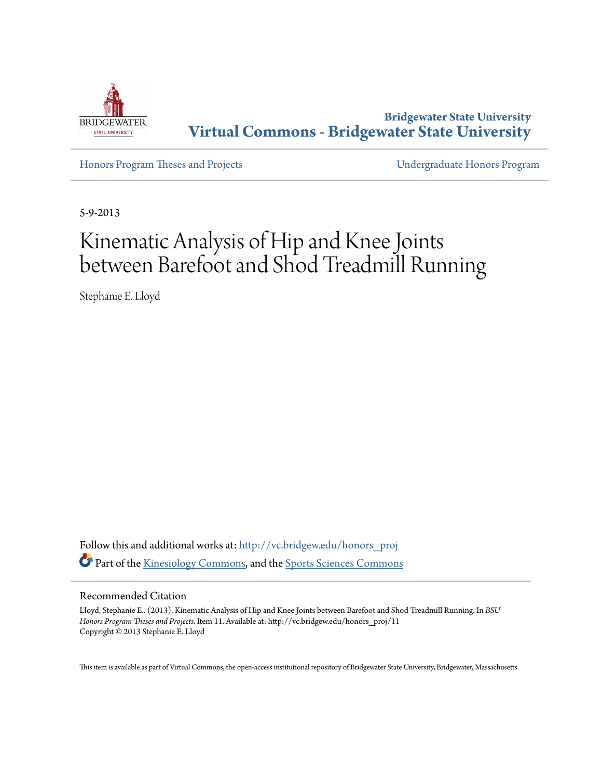

**Bridgewater State University [Virtual Commons - Bridgewater State University](http://vc.bridgew.edu?utm_source=vc.bridgew.edu%2Fhonors_proj%2F11&utm_medium=PDF&utm_campaign=PDFCoverPages)**

[Honors Program Theses and Projects](http://vc.bridgew.edu/honors_proj?utm_source=vc.bridgew.edu%2Fhonors_proj%2F11&utm_medium=PDF&utm_campaign=PDFCoverPages) [Undergraduate Honors Program](http://vc.bridgew.edu/honors?utm_source=vc.bridgew.edu%2Fhonors_proj%2F11&utm_medium=PDF&utm_campaign=PDFCoverPages)

5-9-2013

# Kinematic Analysis of Hip and Knee Joints between Barefoot and Shod Treadmill Running

Stephanie E. Lloyd

Follow this and additional works at: [http://vc.bridgew.edu/honors\\_proj](http://vc.bridgew.edu/honors_proj?utm_source=vc.bridgew.edu%2Fhonors_proj%2F11&utm_medium=PDF&utm_campaign=PDFCoverPages) Part of the [Kinesiology Commons,](http://network.bepress.com/hgg/discipline/42?utm_source=vc.bridgew.edu%2Fhonors_proj%2F11&utm_medium=PDF&utm_campaign=PDFCoverPages) and the [Sports Sciences Commons](http://network.bepress.com/hgg/discipline/759?utm_source=vc.bridgew.edu%2Fhonors_proj%2F11&utm_medium=PDF&utm_campaign=PDFCoverPages)

#### Recommended Citation

Lloyd, Stephanie E.. (2013). Kinematic Analysis of Hip and Knee Joints between Barefoot and Shod Treadmill Running. In *BSU Honors Program Theses and Projects.* Item 11. Available at: http://vc.bridgew.edu/honors\_proj/11 Copyright © 2013 Stephanie E. Lloyd

This item is available as part of Virtual Commons, the open-access institutional repository of Bridgewater State University, Bridgewater, Massachusetts.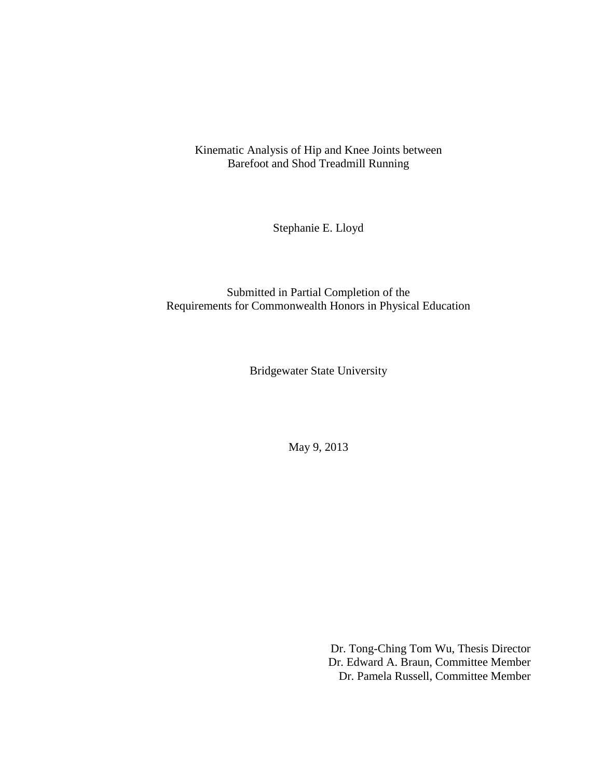Kinematic Analysis of Hip and Knee Joints between Barefoot and Shod Treadmill Running

Stephanie E. Lloyd

Submitted in Partial Completion of the Requirements for Commonwealth Honors in Physical Education

Bridgewater State University

May 9, 2013

Dr. Tong-Ching Tom Wu, Thesis Director Dr. Edward A. Braun, Committee Member Dr. Pamela Russell, Committee Member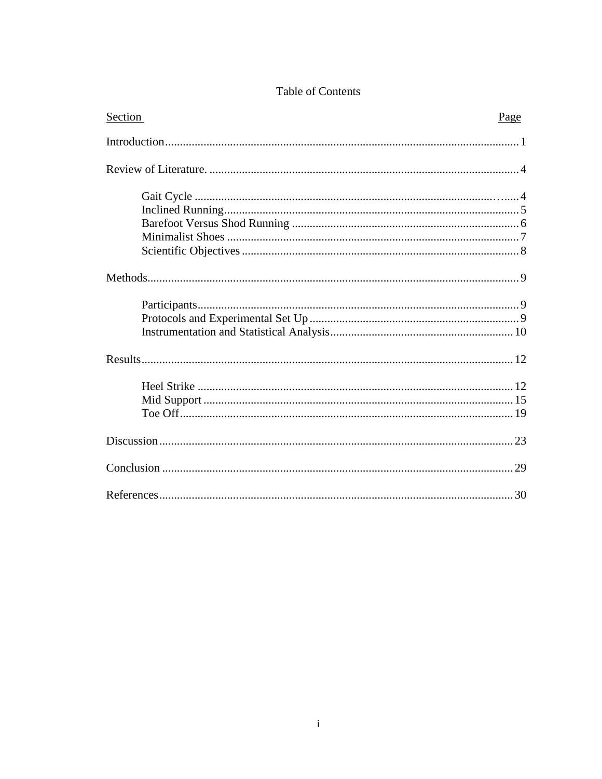| Section | Page |
|---------|------|
|         |      |
|         |      |
|         |      |
|         |      |
|         |      |
|         |      |
|         |      |
|         |      |
|         |      |
|         |      |
|         |      |
|         |      |
|         |      |
|         |      |
|         |      |
|         |      |
|         |      |
|         |      |

## Table of Contents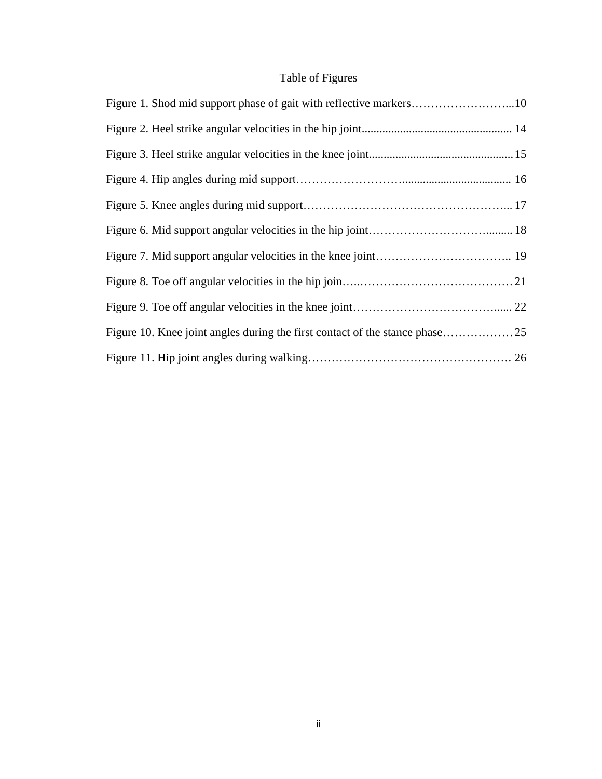# Table of Figures

| Figure 1. Shod mid support phase of gait with reflective markers10 |  |
|--------------------------------------------------------------------|--|
|                                                                    |  |
|                                                                    |  |
|                                                                    |  |
|                                                                    |  |
|                                                                    |  |
|                                                                    |  |
|                                                                    |  |
|                                                                    |  |
|                                                                    |  |
|                                                                    |  |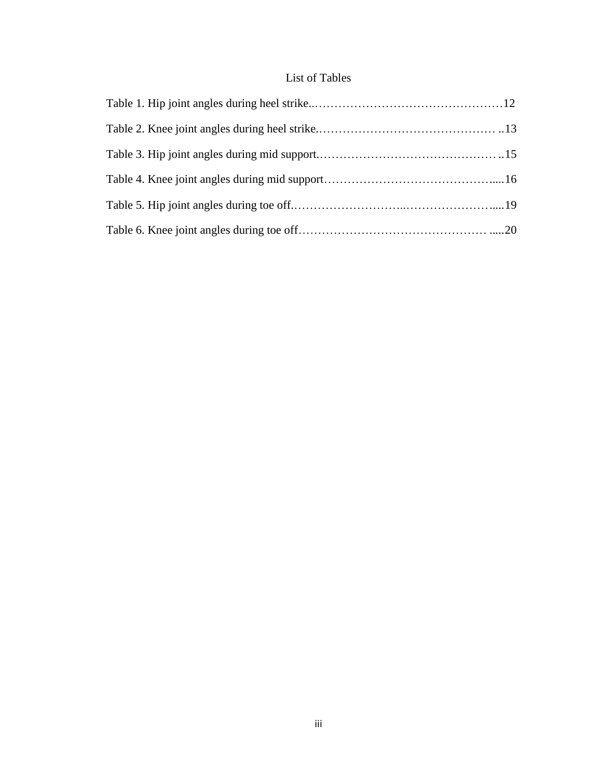## List of Tables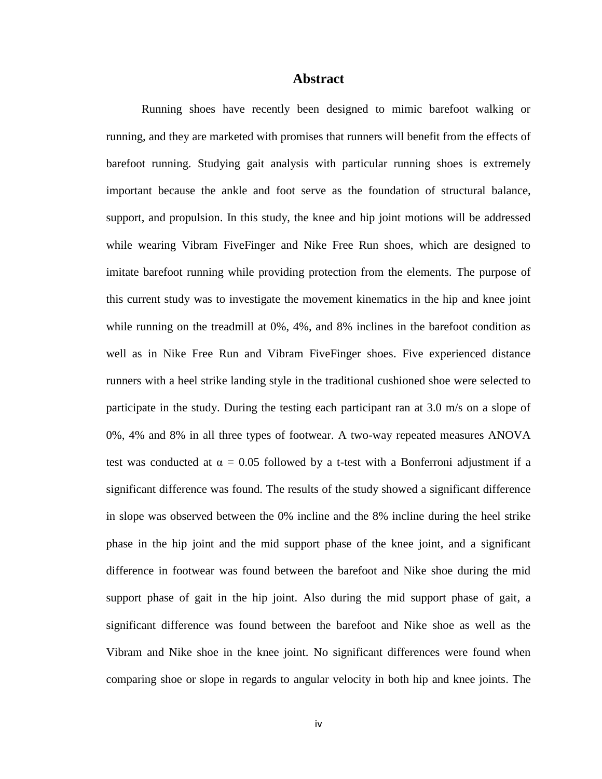#### **Abstract**

Running shoes have recently been designed to mimic barefoot walking or running, and they are marketed with promises that runners will benefit from the effects of barefoot running. Studying gait analysis with particular running shoes is extremely important because the ankle and foot serve as the foundation of structural balance, support, and propulsion. In this study, the knee and hip joint motions will be addressed while wearing Vibram FiveFinger and Nike Free Run shoes, which are designed to imitate barefoot running while providing protection from the elements. The purpose of this current study was to investigate the movement kinematics in the hip and knee joint while running on the treadmill at 0%, 4%, and 8% inclines in the barefoot condition as well as in Nike Free Run and Vibram FiveFinger shoes. Five experienced distance runners with a heel strike landing style in the traditional cushioned shoe were selected to participate in the study. During the testing each participant ran at 3.0 m/s on a slope of 0%, 4% and 8% in all three types of footwear. A two-way repeated measures ANOVA test was conducted at  $\alpha = 0.05$  followed by a t-test with a Bonferroni adjustment if a significant difference was found. The results of the study showed a significant difference in slope was observed between the 0% incline and the 8% incline during the heel strike phase in the hip joint and the mid support phase of the knee joint, and a significant difference in footwear was found between the barefoot and Nike shoe during the mid support phase of gait in the hip joint. Also during the mid support phase of gait, a significant difference was found between the barefoot and Nike shoe as well as the Vibram and Nike shoe in the knee joint. No significant differences were found when comparing shoe or slope in regards to angular velocity in both hip and knee joints. The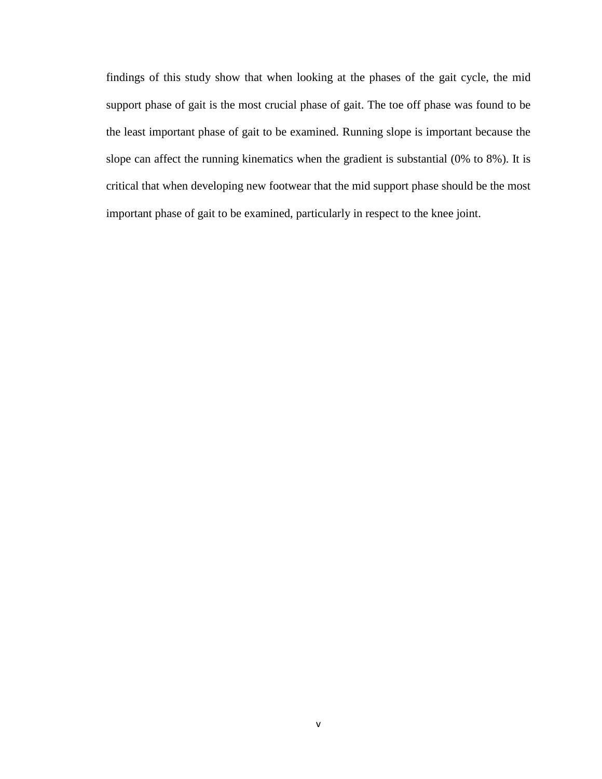findings of this study show that when looking at the phases of the gait cycle, the mid support phase of gait is the most crucial phase of gait. The toe off phase was found to be the least important phase of gait to be examined. Running slope is important because the slope can affect the running kinematics when the gradient is substantial (0% to 8%). It is critical that when developing new footwear that the mid support phase should be the most important phase of gait to be examined, particularly in respect to the knee joint.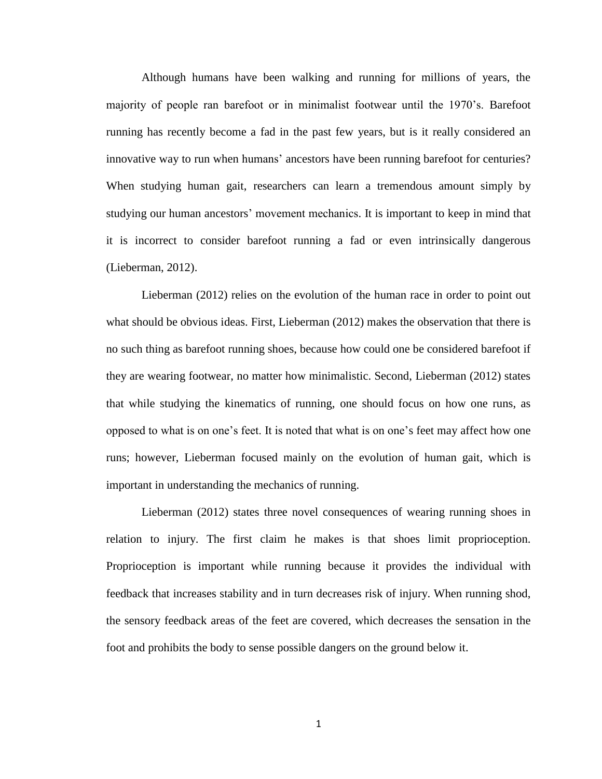Although humans have been walking and running for millions of years, the majority of people ran barefoot or in minimalist footwear until the 1970's. Barefoot running has recently become a fad in the past few years, but is it really considered an innovative way to run when humans' ancestors have been running barefoot for centuries? When studying human gait, researchers can learn a tremendous amount simply by studying our human ancestors' movement mechanics. It is important to keep in mind that it is incorrect to consider barefoot running a fad or even intrinsically dangerous (Lieberman, 2012).

Lieberman (2012) relies on the evolution of the human race in order to point out what should be obvious ideas. First, Lieberman (2012) makes the observation that there is no such thing as barefoot running shoes, because how could one be considered barefoot if they are wearing footwear, no matter how minimalistic. Second, Lieberman (2012) states that while studying the kinematics of running, one should focus on how one runs, as opposed to what is on one's feet. It is noted that what is on one's feet may affect how one runs; however, Lieberman focused mainly on the evolution of human gait, which is important in understanding the mechanics of running.

Lieberman (2012) states three novel consequences of wearing running shoes in relation to injury. The first claim he makes is that shoes limit proprioception. Proprioception is important while running because it provides the individual with feedback that increases stability and in turn decreases risk of injury. When running shod, the sensory feedback areas of the feet are covered, which decreases the sensation in the foot and prohibits the body to sense possible dangers on the ground below it.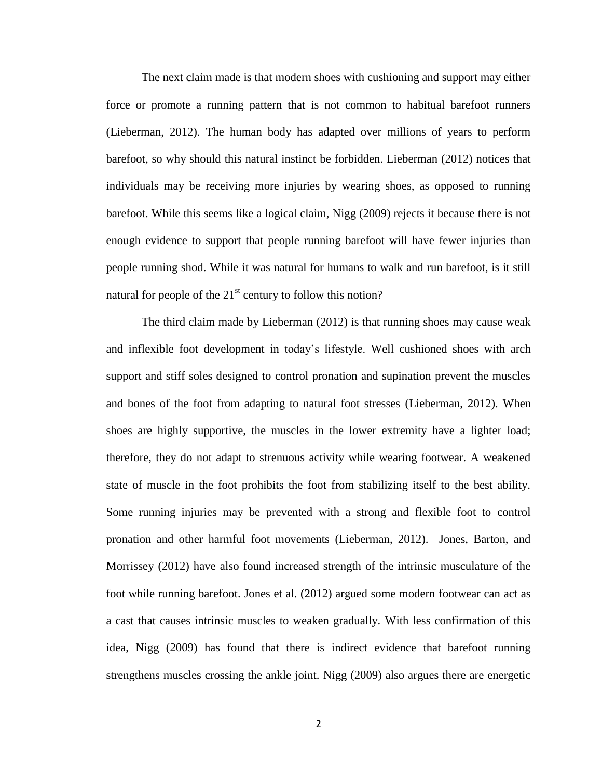The next claim made is that modern shoes with cushioning and support may either force or promote a running pattern that is not common to habitual barefoot runners (Lieberman, 2012). The human body has adapted over millions of years to perform barefoot, so why should this natural instinct be forbidden. Lieberman (2012) notices that individuals may be receiving more injuries by wearing shoes, as opposed to running barefoot. While this seems like a logical claim, Nigg (2009) rejects it because there is not enough evidence to support that people running barefoot will have fewer injuries than people running shod. While it was natural for humans to walk and run barefoot, is it still natural for people of the  $21<sup>st</sup>$  century to follow this notion?

The third claim made by Lieberman (2012) is that running shoes may cause weak and inflexible foot development in today's lifestyle. Well cushioned shoes with arch support and stiff soles designed to control pronation and supination prevent the muscles and bones of the foot from adapting to natural foot stresses (Lieberman, 2012). When shoes are highly supportive, the muscles in the lower extremity have a lighter load; therefore, they do not adapt to strenuous activity while wearing footwear. A weakened state of muscle in the foot prohibits the foot from stabilizing itself to the best ability. Some running injuries may be prevented with a strong and flexible foot to control pronation and other harmful foot movements (Lieberman, 2012). Jones, Barton, and Morrissey (2012) have also found increased strength of the intrinsic musculature of the foot while running barefoot. Jones et al. (2012) argued some modern footwear can act as a cast that causes intrinsic muscles to weaken gradually. With less confirmation of this idea, Nigg (2009) has found that there is indirect evidence that barefoot running strengthens muscles crossing the ankle joint. Nigg (2009) also argues there are energetic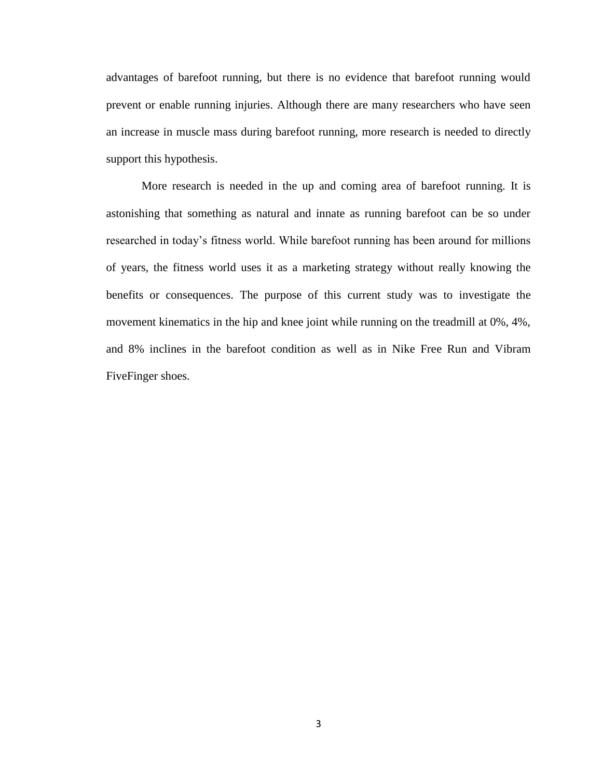advantages of barefoot running, but there is no evidence that barefoot running would prevent or enable running injuries. Although there are many researchers who have seen an increase in muscle mass during barefoot running, more research is needed to directly support this hypothesis.

More research is needed in the up and coming area of barefoot running. It is astonishing that something as natural and innate as running barefoot can be so under researched in today's fitness world. While barefoot running has been around for millions of years, the fitness world uses it as a marketing strategy without really knowing the benefits or consequences. The purpose of this current study was to investigate the movement kinematics in the hip and knee joint while running on the treadmill at 0%, 4%, and 8% inclines in the barefoot condition as well as in Nike Free Run and Vibram FiveFinger shoes.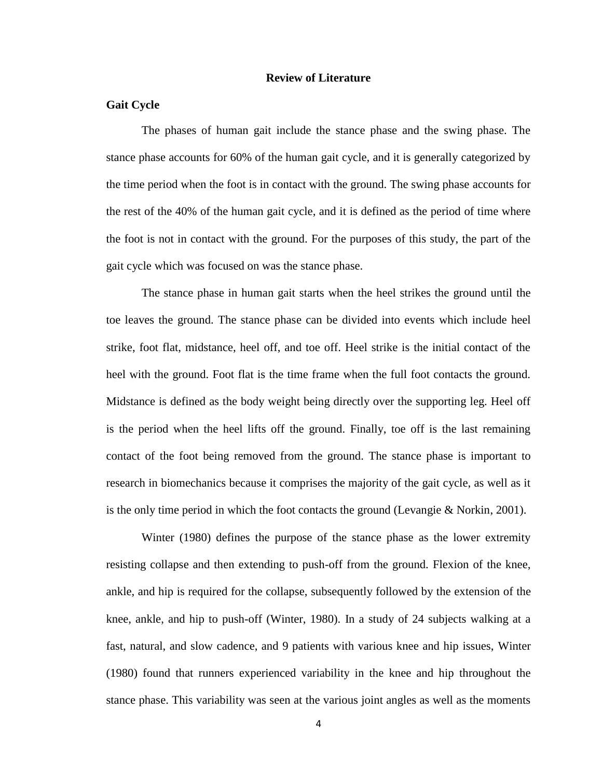#### **Review of Literature**

#### **Gait Cycle**

The phases of human gait include the stance phase and the swing phase. The stance phase accounts for 60% of the human gait cycle, and it is generally categorized by the time period when the foot is in contact with the ground. The swing phase accounts for the rest of the 40% of the human gait cycle, and it is defined as the period of time where the foot is not in contact with the ground. For the purposes of this study, the part of the gait cycle which was focused on was the stance phase.

The stance phase in human gait starts when the heel strikes the ground until the toe leaves the ground. The stance phase can be divided into events which include heel strike, foot flat, midstance, heel off, and toe off. Heel strike is the initial contact of the heel with the ground. Foot flat is the time frame when the full foot contacts the ground. Midstance is defined as the body weight being directly over the supporting leg. Heel off is the period when the heel lifts off the ground. Finally, toe off is the last remaining contact of the foot being removed from the ground. The stance phase is important to research in biomechanics because it comprises the majority of the gait cycle, as well as it is the only time period in which the foot contacts the ground (Levangie & Norkin, 2001).

Winter (1980) defines the purpose of the stance phase as the lower extremity resisting collapse and then extending to push-off from the ground. Flexion of the knee, ankle, and hip is required for the collapse, subsequently followed by the extension of the knee, ankle, and hip to push-off (Winter, 1980). In a study of 24 subjects walking at a fast, natural, and slow cadence, and 9 patients with various knee and hip issues, Winter (1980) found that runners experienced variability in the knee and hip throughout the stance phase. This variability was seen at the various joint angles as well as the moments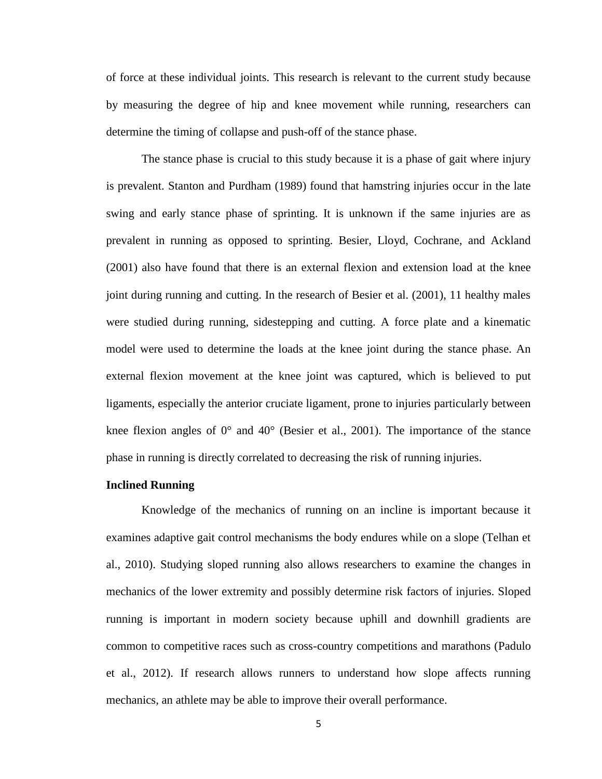of force at these individual joints. This research is relevant to the current study because by measuring the degree of hip and knee movement while running, researchers can determine the timing of collapse and push-off of the stance phase.

The stance phase is crucial to this study because it is a phase of gait where injury is prevalent. Stanton and Purdham (1989) found that hamstring injuries occur in the late swing and early stance phase of sprinting. It is unknown if the same injuries are as prevalent in running as opposed to sprinting. Besier, Lloyd, Cochrane, and Ackland (2001) also have found that there is an external flexion and extension load at the knee joint during running and cutting. In the research of Besier et al. (2001), 11 healthy males were studied during running, sidestepping and cutting. A force plate and a kinematic model were used to determine the loads at the knee joint during the stance phase. An external flexion movement at the knee joint was captured, which is believed to put ligaments, especially the anterior cruciate ligament, prone to injuries particularly between knee flexion angles of 0° and 40° (Besier et al., 2001). The importance of the stance phase in running is directly correlated to decreasing the risk of running injuries.

#### **Inclined Running**

Knowledge of the mechanics of running on an incline is important because it examines adaptive gait control mechanisms the body endures while on a slope (Telhan et al., 2010). Studying sloped running also allows researchers to examine the changes in mechanics of the lower extremity and possibly determine risk factors of injuries. Sloped running is important in modern society because uphill and downhill gradients are common to competitive races such as cross-country competitions and marathons (Padulo et al., 2012). If research allows runners to understand how slope affects running mechanics, an athlete may be able to improve their overall performance.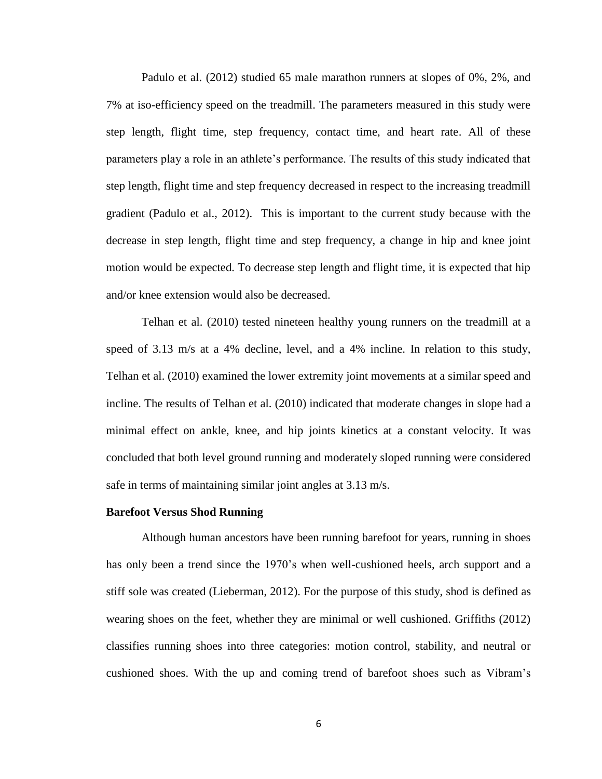Padulo et al. (2012) studied 65 male marathon runners at slopes of 0%, 2%, and 7% at iso-efficiency speed on the treadmill. The parameters measured in this study were step length, flight time, step frequency, contact time, and heart rate. All of these parameters play a role in an athlete's performance. The results of this study indicated that step length, flight time and step frequency decreased in respect to the increasing treadmill gradient (Padulo et al., 2012). This is important to the current study because with the decrease in step length, flight time and step frequency, a change in hip and knee joint motion would be expected. To decrease step length and flight time, it is expected that hip and/or knee extension would also be decreased.

Telhan et al. (2010) tested nineteen healthy young runners on the treadmill at a speed of 3.13 m/s at a 4% decline, level, and a 4% incline. In relation to this study, Telhan et al. (2010) examined the lower extremity joint movements at a similar speed and incline. The results of Telhan et al. (2010) indicated that moderate changes in slope had a minimal effect on ankle, knee, and hip joints kinetics at a constant velocity. It was concluded that both level ground running and moderately sloped running were considered safe in terms of maintaining similar joint angles at 3.13 m/s.

#### **Barefoot Versus Shod Running**

Although human ancestors have been running barefoot for years, running in shoes has only been a trend since the 1970's when well-cushioned heels, arch support and a stiff sole was created (Lieberman, 2012). For the purpose of this study, shod is defined as wearing shoes on the feet, whether they are minimal or well cushioned. Griffiths (2012) classifies running shoes into three categories: motion control, stability, and neutral or cushioned shoes. With the up and coming trend of barefoot shoes such as Vibram's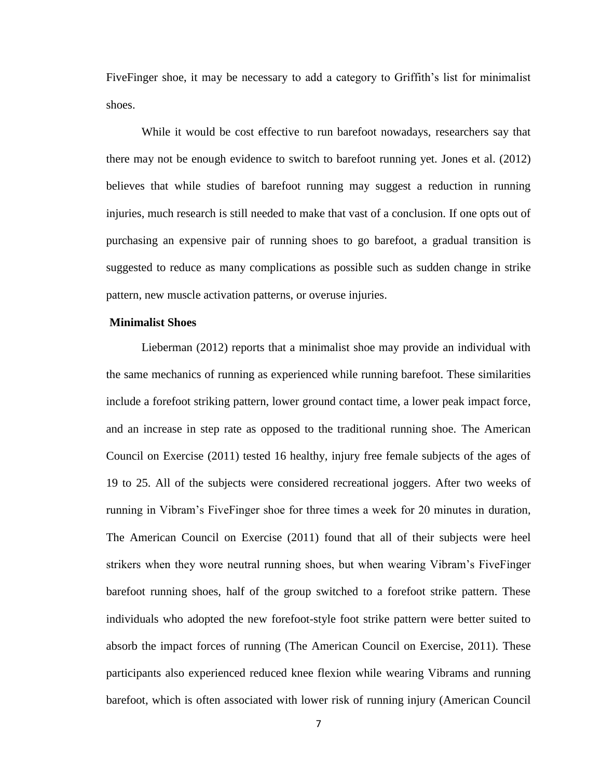FiveFinger shoe, it may be necessary to add a category to Griffith's list for minimalist shoes.

While it would be cost effective to run barefoot nowadays, researchers say that there may not be enough evidence to switch to barefoot running yet. Jones et al. (2012) believes that while studies of barefoot running may suggest a reduction in running injuries, much research is still needed to make that vast of a conclusion. If one opts out of purchasing an expensive pair of running shoes to go barefoot, a gradual transition is suggested to reduce as many complications as possible such as sudden change in strike pattern, new muscle activation patterns, or overuse injuries.

#### **Minimalist Shoes**

Lieberman (2012) reports that a minimalist shoe may provide an individual with the same mechanics of running as experienced while running barefoot. These similarities include a forefoot striking pattern, lower ground contact time, a lower peak impact force, and an increase in step rate as opposed to the traditional running shoe. The American Council on Exercise (2011) tested 16 healthy, injury free female subjects of the ages of 19 to 25. All of the subjects were considered recreational joggers. After two weeks of running in Vibram's FiveFinger shoe for three times a week for 20 minutes in duration, The American Council on Exercise (2011) found that all of their subjects were heel strikers when they wore neutral running shoes, but when wearing Vibram's FiveFinger barefoot running shoes, half of the group switched to a forefoot strike pattern. These individuals who adopted the new forefoot-style foot strike pattern were better suited to absorb the impact forces of running (The American Council on Exercise, 2011). These participants also experienced reduced knee flexion while wearing Vibrams and running barefoot, which is often associated with lower risk of running injury (American Council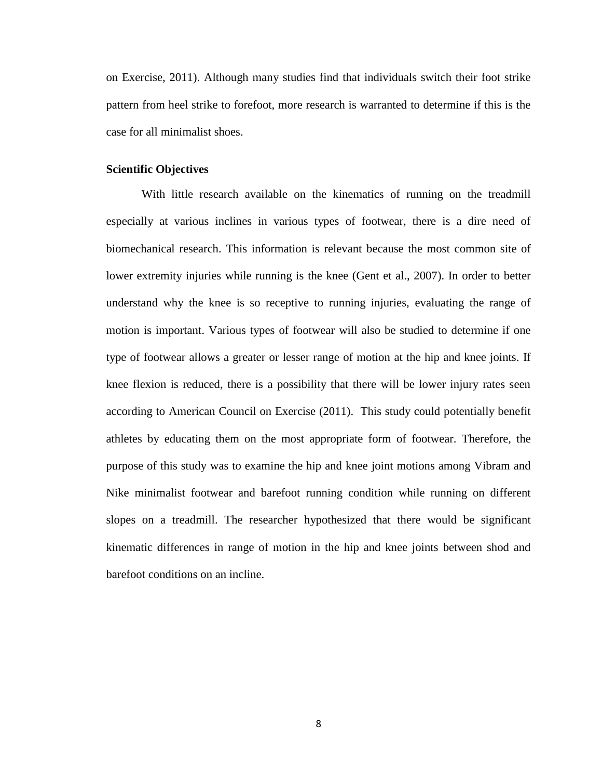on Exercise, 2011). Although many studies find that individuals switch their foot strike pattern from heel strike to forefoot, more research is warranted to determine if this is the case for all minimalist shoes.

#### **Scientific Objectives**

With little research available on the kinematics of running on the treadmill especially at various inclines in various types of footwear, there is a dire need of biomechanical research. This information is relevant because the most common site of lower extremity injuries while running is the knee (Gent et al., 2007). In order to better understand why the knee is so receptive to running injuries, evaluating the range of motion is important. Various types of footwear will also be studied to determine if one type of footwear allows a greater or lesser range of motion at the hip and knee joints. If knee flexion is reduced, there is a possibility that there will be lower injury rates seen according to American Council on Exercise (2011). This study could potentially benefit athletes by educating them on the most appropriate form of footwear. Therefore, the purpose of this study was to examine the hip and knee joint motions among Vibram and Nike minimalist footwear and barefoot running condition while running on different slopes on a treadmill. The researcher hypothesized that there would be significant kinematic differences in range of motion in the hip and knee joints between shod and barefoot conditions on an incline.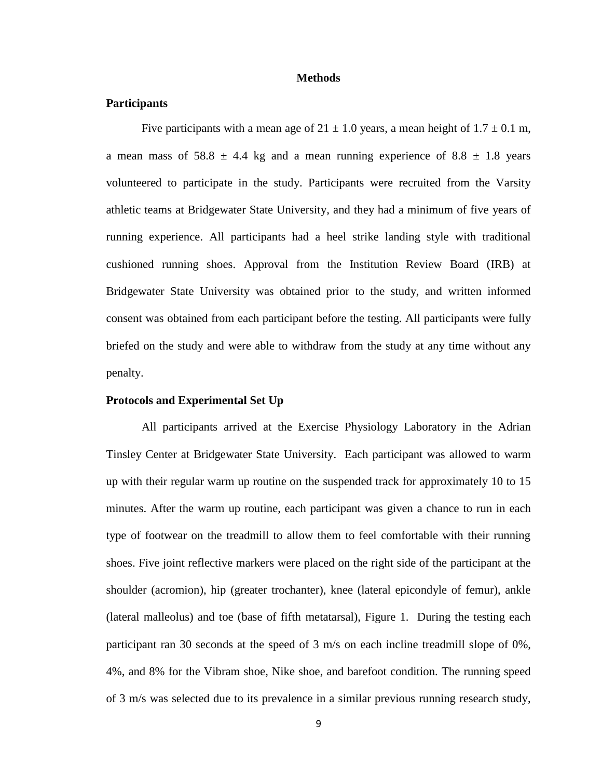#### **Methods**

#### **Participants**

Five participants with a mean age of  $21 \pm 1.0$  years, a mean height of  $1.7 \pm 0.1$  m, a mean mass of 58.8  $\pm$  4.4 kg and a mean running experience of 8.8  $\pm$  1.8 years volunteered to participate in the study. Participants were recruited from the Varsity athletic teams at Bridgewater State University, and they had a minimum of five years of running experience. All participants had a heel strike landing style with traditional cushioned running shoes. Approval from the Institution Review Board (IRB) at Bridgewater State University was obtained prior to the study, and written informed consent was obtained from each participant before the testing. All participants were fully briefed on the study and were able to withdraw from the study at any time without any penalty.

#### **Protocols and Experimental Set Up**

All participants arrived at the Exercise Physiology Laboratory in the Adrian Tinsley Center at Bridgewater State University. Each participant was allowed to warm up with their regular warm up routine on the suspended track for approximately 10 to 15 minutes. After the warm up routine, each participant was given a chance to run in each type of footwear on the treadmill to allow them to feel comfortable with their running shoes. Five joint reflective markers were placed on the right side of the participant at the shoulder (acromion), hip (greater trochanter), knee (lateral epicondyle of femur), ankle (lateral malleolus) and toe (base of fifth metatarsal), Figure 1. During the testing each participant ran 30 seconds at the speed of 3 m/s on each incline treadmill slope of 0%, 4%, and 8% for the Vibram shoe, Nike shoe, and barefoot condition. The running speed of 3 m/s was selected due to its prevalence in a similar previous running research study,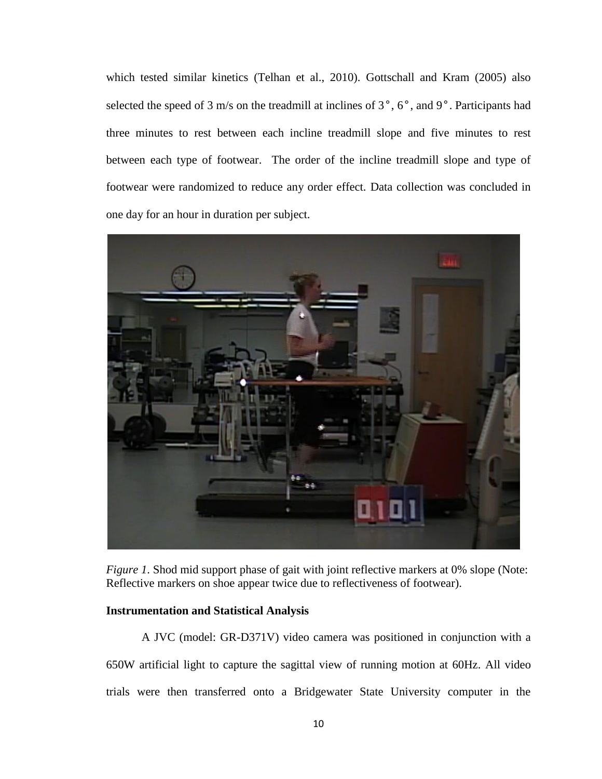which tested similar kinetics (Telhan et al., 2010). Gottschall and Kram (2005) also selected the speed of 3 m/s on the treadmill at inclines of 3°, 6°, and 9°. Participants had three minutes to rest between each incline treadmill slope and five minutes to rest between each type of footwear. The order of the incline treadmill slope and type of footwear were randomized to reduce any order effect. Data collection was concluded in one day for an hour in duration per subject.



*Figure 1*. Shod mid support phase of gait with joint reflective markers at 0% slope (Note: Reflective markers on shoe appear twice due to reflectiveness of footwear).

#### **Instrumentation and Statistical Analysis**

A JVC (model: GR-D371V) video camera was positioned in conjunction with a 650W artificial light to capture the sagittal view of running motion at 60Hz. All video trials were then transferred onto a Bridgewater State University computer in the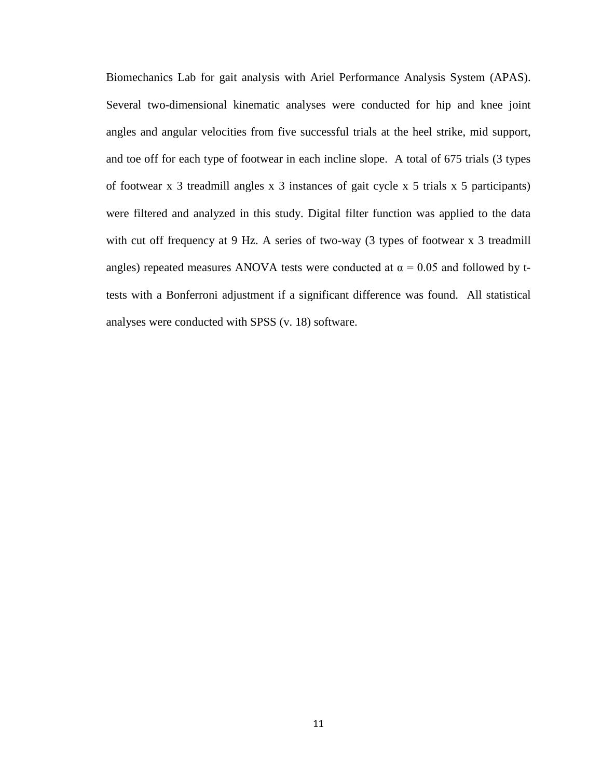Biomechanics Lab for gait analysis with Ariel Performance Analysis System (APAS). Several two-dimensional kinematic analyses were conducted for hip and knee joint angles and angular velocities from five successful trials at the heel strike, mid support, and toe off for each type of footwear in each incline slope. A total of 675 trials (3 types of footwear x 3 treadmill angles x 3 instances of gait cycle x 5 trials x 5 participants) were filtered and analyzed in this study. Digital filter function was applied to the data with cut off frequency at 9 Hz. A series of two-way (3 types of footwear x 3 treadmill angles) repeated measures ANOVA tests were conducted at  $\alpha = 0.05$  and followed by ttests with a Bonferroni adjustment if a significant difference was found. All statistical analyses were conducted with SPSS (v. 18) software.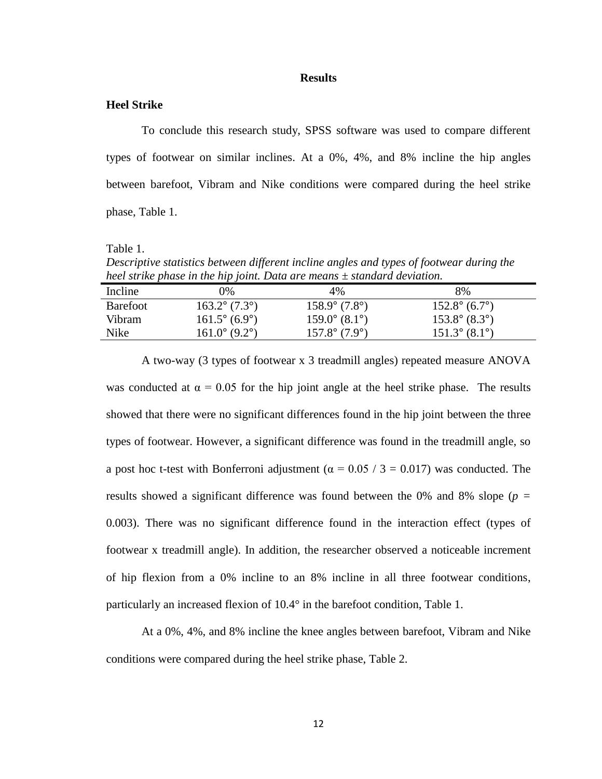#### **Results**

#### **Heel Strike**

To conclude this research study, SPSS software was used to compare different types of footwear on similar inclines. At a 0%, 4%, and 8% incline the hip angles between barefoot, Vibram and Nike conditions were compared during the heel strike phase, Table 1.

Table 1.

*Descriptive statistics between different incline angles and types of footwear during the heel strike phase in the hip joint. Data are means ± standard deviation.*

| Incline         | 9%                     | $4\%$                  | 8%                     |  |
|-----------------|------------------------|------------------------|------------------------|--|
| <b>Barefoot</b> | $163.2^{\circ}$ (7.3°) | $158.9^{\circ}$ (7.8°) | $152.8^{\circ}$ (6.7°) |  |
| Vibram          | $161.5^{\circ}$ (6.9°) | $159.0^{\circ}$ (8.1°) | $153.8^{\circ}$ (8.3°) |  |
| Nike            | $161.0^{\circ}$ (9.2°) | $157.8^{\circ}$ (7.9°) | $151.3^{\circ}$ (8.1°) |  |
|                 |                        |                        |                        |  |

A two-way (3 types of footwear x 3 treadmill angles) repeated measure ANOVA was conducted at  $\alpha = 0.05$  for the hip joint angle at the heel strike phase. The results showed that there were no significant differences found in the hip joint between the three types of footwear. However, a significant difference was found in the treadmill angle, so a post hoc t-test with Bonferroni adjustment ( $\alpha$  = 0.05 / 3 = 0.017) was conducted. The results showed a significant difference was found between the 0% and 8% slope (*p =* 0.003). There was no significant difference found in the interaction effect (types of footwear x treadmill angle). In addition, the researcher observed a noticeable increment of hip flexion from a 0% incline to an 8% incline in all three footwear conditions, particularly an increased flexion of 10.4° in the barefoot condition, Table 1.

At a 0%, 4%, and 8% incline the knee angles between barefoot, Vibram and Nike conditions were compared during the heel strike phase, Table 2.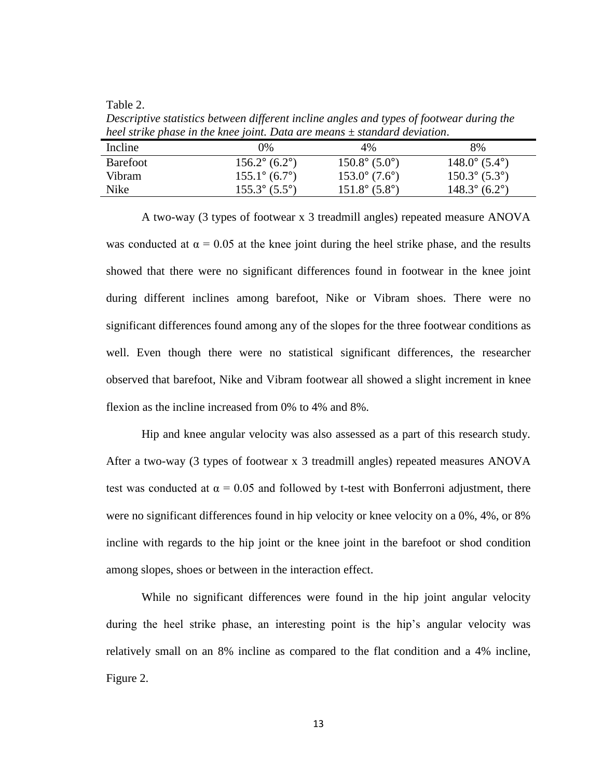Table 2.

*Descriptive statistics between different incline angles and types of footwear during the heel strike phase in the knee joint. Data are means ± standard deviation*.

| Incline         | $0\%$                  | 4%                     | 8%                     |
|-----------------|------------------------|------------------------|------------------------|
| <b>Barefoot</b> | $156.2^{\circ}$ (6.2°) | $150.8^{\circ}$ (5.0°) | $148.0^{\circ}$ (5.4°) |
| <b>Vibram</b>   | $155.1^{\circ}$ (6.7°) | $153.0^{\circ}$ (7.6°) | $150.3^{\circ}$ (5.3°) |
| Nike            | $155.3^{\circ}$ (5.5°) | $151.8^{\circ}$ (5.8°) | $148.3^{\circ}$ (6.2°) |

A two-way (3 types of footwear x 3 treadmill angles) repeated measure ANOVA was conducted at  $\alpha = 0.05$  at the knee joint during the heel strike phase, and the results showed that there were no significant differences found in footwear in the knee joint during different inclines among barefoot, Nike or Vibram shoes. There were no significant differences found among any of the slopes for the three footwear conditions as well. Even though there were no statistical significant differences, the researcher observed that barefoot, Nike and Vibram footwear all showed a slight increment in knee flexion as the incline increased from 0% to 4% and 8%.

Hip and knee angular velocity was also assessed as a part of this research study. After a two-way (3 types of footwear x 3 treadmill angles) repeated measures ANOVA test was conducted at  $\alpha = 0.05$  and followed by t-test with Bonferroni adjustment, there were no significant differences found in hip velocity or knee velocity on a 0%, 4%, or 8% incline with regards to the hip joint or the knee joint in the barefoot or shod condition among slopes, shoes or between in the interaction effect.

While no significant differences were found in the hip joint angular velocity during the heel strike phase, an interesting point is the hip's angular velocity was relatively small on an 8% incline as compared to the flat condition and a 4% incline, Figure 2.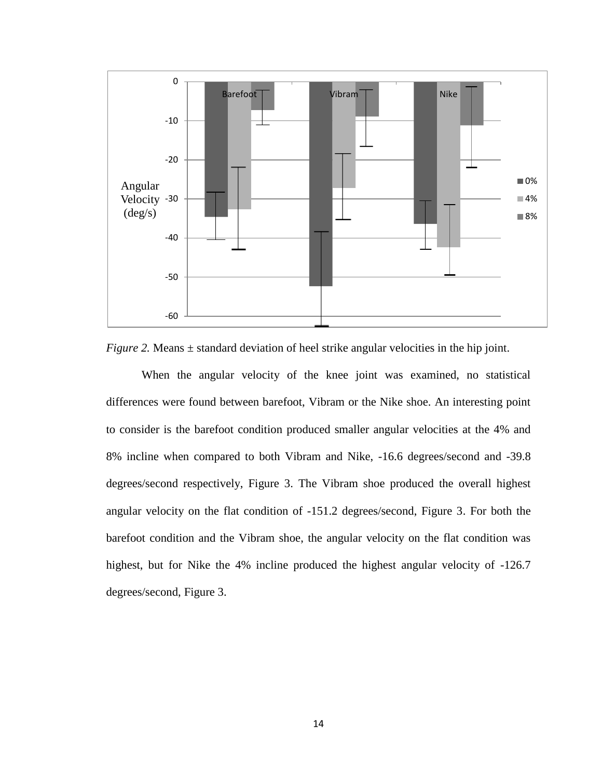

*Figure 2.* Means  $\pm$  standard deviation of heel strike angular velocities in the hip joint.

When the angular velocity of the knee joint was examined, no statistical differences were found between barefoot, Vibram or the Nike shoe. An interesting point to consider is the barefoot condition produced smaller angular velocities at the 4% and 8% incline when compared to both Vibram and Nike, -16.6 degrees/second and -39.8 degrees/second respectively, Figure 3. The Vibram shoe produced the overall highest angular velocity on the flat condition of -151.2 degrees/second, Figure 3. For both the barefoot condition and the Vibram shoe, the angular velocity on the flat condition was highest, but for Nike the 4% incline produced the highest angular velocity of -126.7 degrees/second, Figure 3.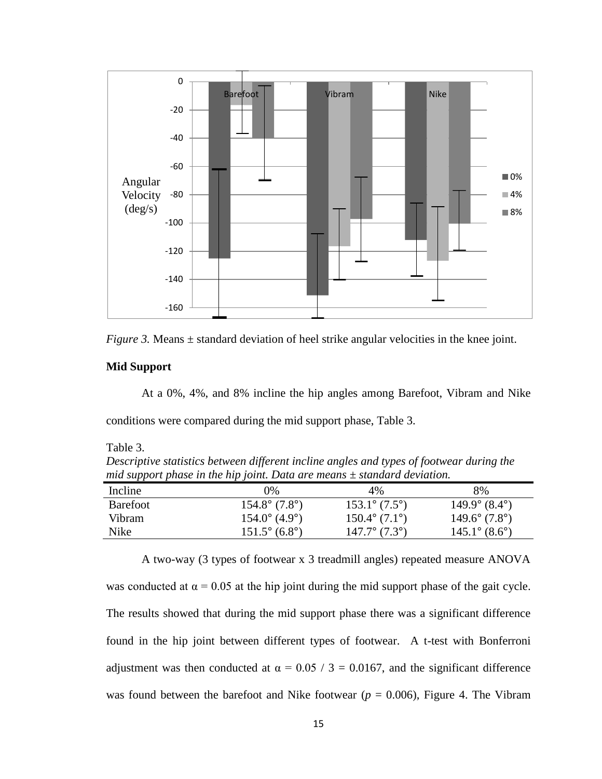



#### **Mid Support**

At a 0%, 4%, and 8% incline the hip angles among Barefoot, Vibram and Nike conditions were compared during the mid support phase, Table 3.

Table 3.

*Descriptive statistics between different incline angles and types of footwear during the mid support phase in the hip joint. Data are means ± standard deviation.*

| Incline         | $0\%$                  | 4%                            | 8%                     |
|-----------------|------------------------|-------------------------------|------------------------|
| <b>Barefoot</b> | $154.8^{\circ}$ (7.8°) | $153.1^{\circ} (7.5^{\circ})$ | $149.9^{\circ}$ (8.4°) |
| Vibram          | $154.0^{\circ}$ (4.9°) | $150.4^{\circ}$ (7.1°)        | $149.6^{\circ}$ (7.8°) |
| Nike            | $151.5^{\circ}$ (6.8°) | $147.7^{\circ}$ (7.3°)        | $145.1^{\circ}$ (8.6°) |

A two-way (3 types of footwear x 3 treadmill angles) repeated measure ANOVA was conducted at  $\alpha = 0.05$  at the hip joint during the mid support phase of the gait cycle. The results showed that during the mid support phase there was a significant difference found in the hip joint between different types of footwear. A t-test with Bonferroni adjustment was then conducted at  $\alpha = 0.05 / 3 = 0.0167$ , and the significant difference was found between the barefoot and Nike footwear ( $p = 0.006$ ), Figure 4. The Vibram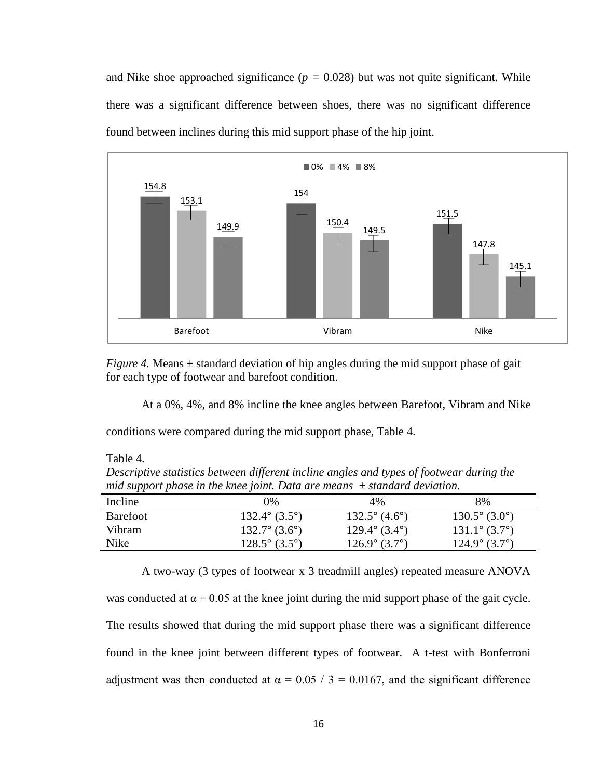and Nike shoe approached significance ( $p = 0.028$ ) but was not quite significant. While there was a significant difference between shoes, there was no significant difference found between inclines during this mid support phase of the hip joint.



*Figure 4.* Means  $\pm$  standard deviation of hip angles during the mid support phase of gait for each type of footwear and barefoot condition.

At a 0%, 4%, and 8% incline the knee angles between Barefoot, Vibram and Nike

conditions were compared during the mid support phase, Table 4.

Table 4.

*Descriptive statistics between different incline angles and types of footwear during the mid support phase in the knee joint. Data are means ± standard deviation.* 

| Incline         | $0\%$                  | 4%                     | 8%                     |
|-----------------|------------------------|------------------------|------------------------|
| <b>Barefoot</b> | $132.4^{\circ}$ (3.5°) | $132.5^{\circ}$ (4.6°) | $130.5^{\circ}$ (3.0°) |
| <b>Vibram</b>   | $132.7^{\circ}$ (3.6°) | $129.4^{\circ}$ (3.4°) | $131.1^{\circ}$ (3.7°) |
| Nike            | $128.5^{\circ}$ (3.5°) | $126.9^{\circ}$ (3.7°) | $124.9^{\circ}$ (3.7°) |

A two-way (3 types of footwear x 3 treadmill angles) repeated measure ANOVA was conducted at  $\alpha = 0.05$  at the knee joint during the mid support phase of the gait cycle. The results showed that during the mid support phase there was a significant difference found in the knee joint between different types of footwear. A t-test with Bonferroni adjustment was then conducted at  $\alpha = 0.05 / 3 = 0.0167$ , and the significant difference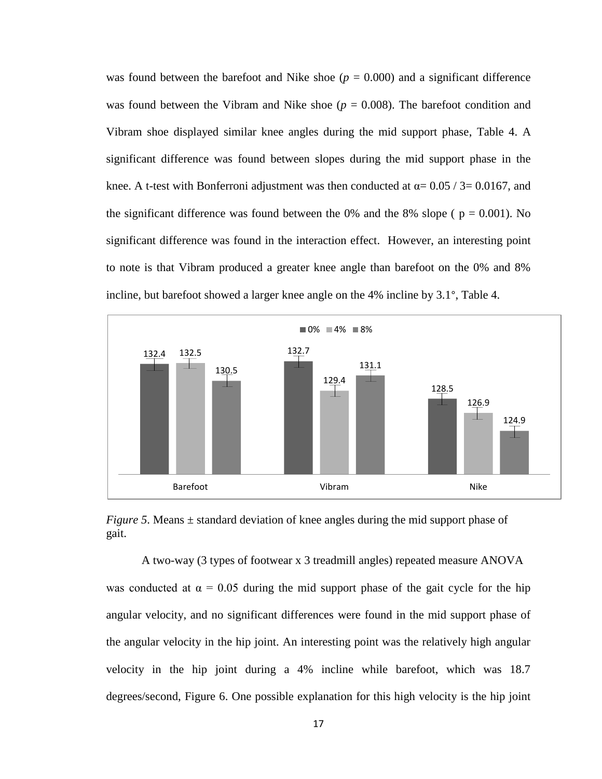was found between the barefoot and Nike shoe ( $p = 0.000$ ) and a significant difference was found between the Vibram and Nike shoe ( $p = 0.008$ ). The barefoot condition and Vibram shoe displayed similar knee angles during the mid support phase, Table 4. A significant difference was found between slopes during the mid support phase in the knee. A t-test with Bonferroni adjustment was then conducted at  $\alpha$  = 0.05 / 3 = 0.0167, and the significant difference was found between the 0% and the 8% slope ( $p = 0.001$ ). No significant difference was found in the interaction effect. However, an interesting point to note is that Vibram produced a greater knee angle than barefoot on the 0% and 8% incline, but barefoot showed a larger knee angle on the 4% incline by 3.1°, Table 4.



*Figure 5*. Means  $\pm$  standard deviation of knee angles during the mid support phase of gait.

A two-way (3 types of footwear x 3 treadmill angles) repeated measure ANOVA was conducted at  $\alpha = 0.05$  during the mid support phase of the gait cycle for the hip angular velocity, and no significant differences were found in the mid support phase of the angular velocity in the hip joint. An interesting point was the relatively high angular velocity in the hip joint during a 4% incline while barefoot, which was 18.7 degrees/second, Figure 6. One possible explanation for this high velocity is the hip joint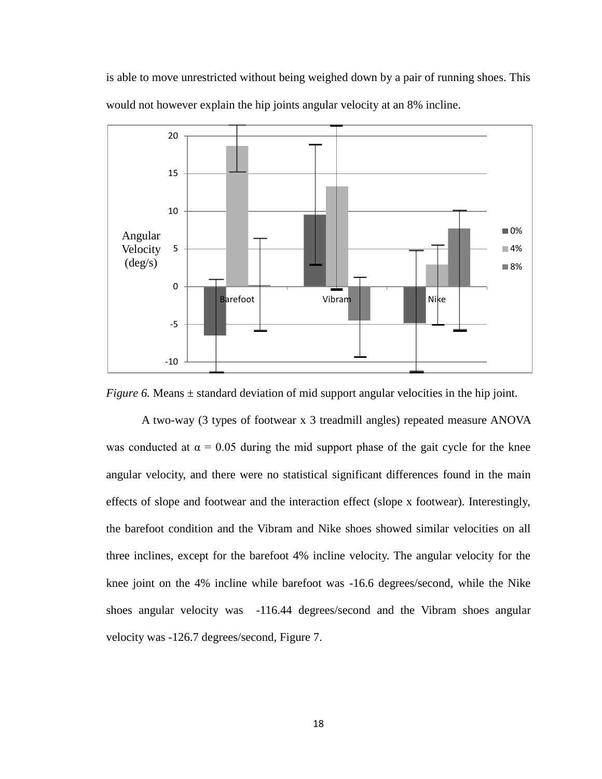is able to move unrestricted without being weighed down by a pair of running shoes. This would not however explain the hip joints angular velocity at an 8% incline.



*Figure 6.* Means  $\pm$  standard deviation of mid support angular velocities in the hip joint.

A two-way (3 types of footwear x 3 treadmill angles) repeated measure ANOVA was conducted at  $\alpha = 0.05$  during the mid support phase of the gait cycle for the knee angular velocity, and there were no statistical significant differences found in the main effects of slope and footwear and the interaction effect (slope x footwear). Interestingly, the barefoot condition and the Vibram and Nike shoes showed similar velocities on all three inclines, except for the barefoot 4% incline velocity. The angular velocity for the knee joint on the 4% incline while barefoot was -16.6 degrees/second, while the Nike shoes angular velocity was -116.44 degrees/second and the Vibram shoes angular velocity was -126.7 degrees/second, Figure 7.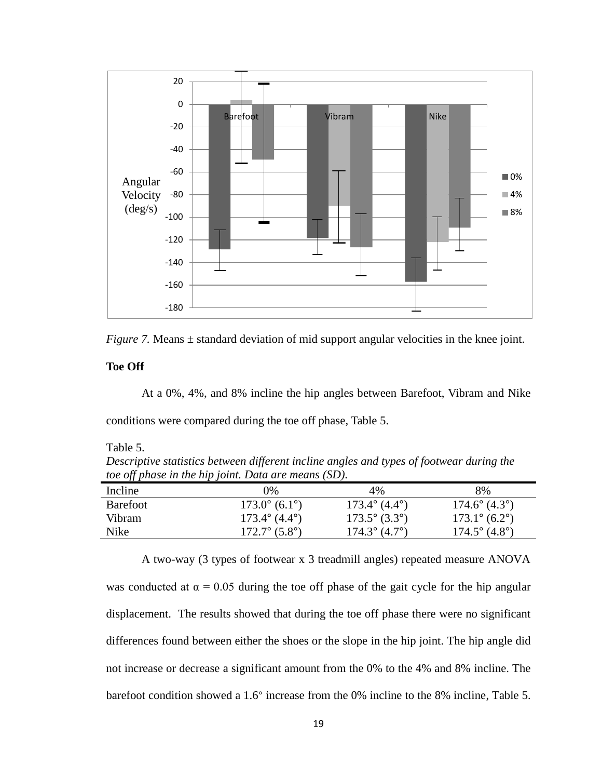



#### **Toe Off**

At a 0%, 4%, and 8% incline the hip angles between Barefoot, Vibram and Nike conditions were compared during the toe off phase, Table 5.

Table 5.

*Descriptive statistics between different incline angles and types of footwear during the toe off phase in the hip joint. Data are means (SD).*

| Incline         | $0\%$                  | 4%                     | 8%                     |
|-----------------|------------------------|------------------------|------------------------|
| <b>Barefoot</b> | $173.0^{\circ}$ (6.1°) | $173.4^{\circ}$ (4.4°) | $174.6^{\circ}$ (4.3°) |
| <b>Vibram</b>   | $173.4^{\circ}$ (4.4°) | $173.5^{\circ}$ (3.3°) | $173.1^{\circ}$ (6.2°) |
| Nike            | $172.7^{\circ}$ (5.8°) | $174.3^{\circ}$ (4.7°) | $174.5^{\circ}$ (4.8°) |

A two-way (3 types of footwear x 3 treadmill angles) repeated measure ANOVA was conducted at  $\alpha = 0.05$  during the toe off phase of the gait cycle for the hip angular displacement. The results showed that during the toe off phase there were no significant differences found between either the shoes or the slope in the hip joint. The hip angle did not increase or decrease a significant amount from the 0% to the 4% and 8% incline. The barefoot condition showed a 1.6° increase from the 0% incline to the 8% incline, Table 5.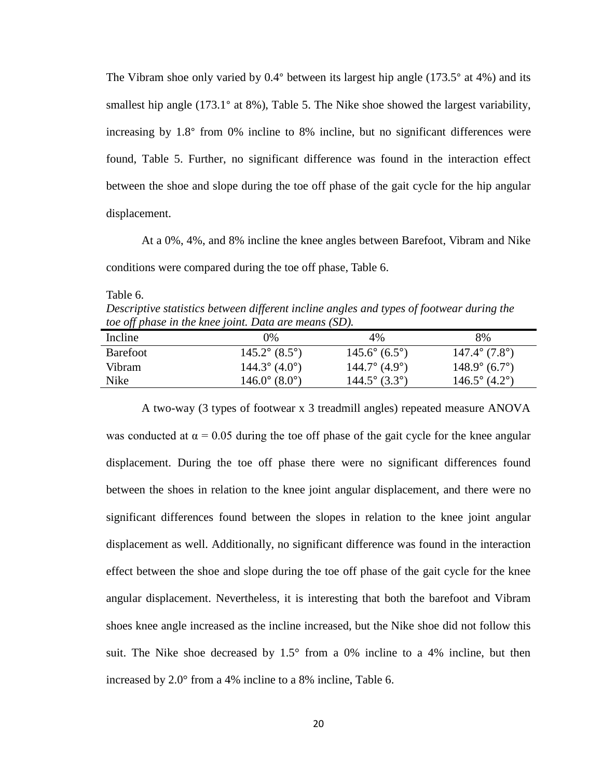The Vibram shoe only varied by 0.4° between its largest hip angle (173.5° at 4%) and its smallest hip angle (173.1° at 8%), Table 5. The Nike shoe showed the largest variability, increasing by 1.8° from 0% incline to 8% incline, but no significant differences were found, Table 5. Further, no significant difference was found in the interaction effect between the shoe and slope during the toe off phase of the gait cycle for the hip angular displacement.

At a 0%, 4%, and 8% incline the knee angles between Barefoot, Vibram and Nike conditions were compared during the toe off phase, Table 6.

Table 6.

*Descriptive statistics between different incline angles and types of footwear during the toe off phase in the knee joint. Data are means (SD).*

| Incline  | $0\%$                  | 4%                     | 8%                     |
|----------|------------------------|------------------------|------------------------|
| Barefoot | $145.2^{\circ}$ (8.5°) | $145.6^{\circ}$ (6.5°) | $147.4^{\circ}$ (7.8°) |
| Vibram   | $144.3^{\circ}$ (4.0°) | $144.7^{\circ}$ (4.9°) | $148.9^{\circ}$ (6.7°) |
| Nike     | $146.0^{\circ}$ (8.0°) | $144.5^{\circ}$ (3.3°) | $146.5^{\circ}$ (4.2°) |

A two-way (3 types of footwear x 3 treadmill angles) repeated measure ANOVA was conducted at  $\alpha = 0.05$  during the toe off phase of the gait cycle for the knee angular displacement. During the toe off phase there were no significant differences found between the shoes in relation to the knee joint angular displacement, and there were no significant differences found between the slopes in relation to the knee joint angular displacement as well. Additionally, no significant difference was found in the interaction effect between the shoe and slope during the toe off phase of the gait cycle for the knee angular displacement. Nevertheless, it is interesting that both the barefoot and Vibram shoes knee angle increased as the incline increased, but the Nike shoe did not follow this suit. The Nike shoe decreased by  $1.5^{\circ}$  from a 0% incline to a 4% incline, but then increased by 2.0° from a 4% incline to a 8% incline, Table 6.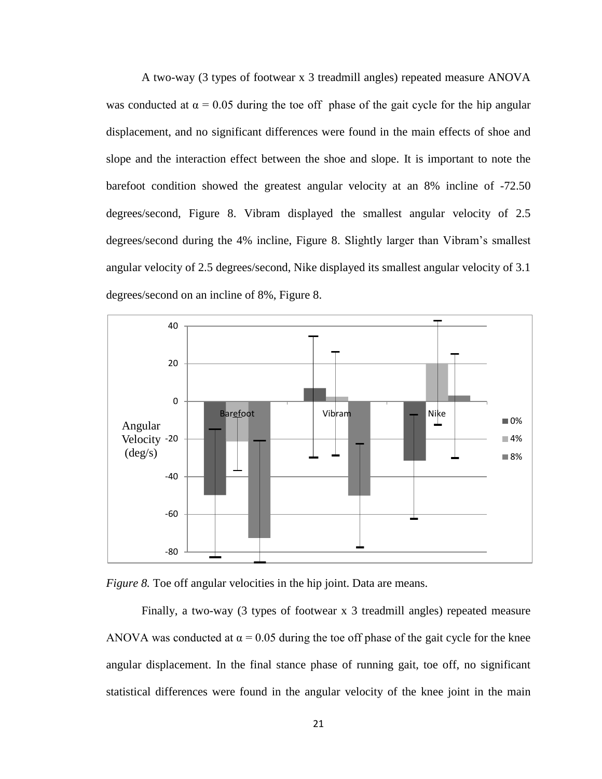A two-way (3 types of footwear x 3 treadmill angles) repeated measure ANOVA was conducted at  $\alpha = 0.05$  during the toe off phase of the gait cycle for the hip angular displacement, and no significant differences were found in the main effects of shoe and slope and the interaction effect between the shoe and slope. It is important to note the barefoot condition showed the greatest angular velocity at an 8% incline of -72.50 degrees/second, Figure 8. Vibram displayed the smallest angular velocity of 2.5 degrees/second during the 4% incline, Figure 8. Slightly larger than Vibram's smallest angular velocity of 2.5 degrees/second, Nike displayed its smallest angular velocity of 3.1 degrees/second on an incline of 8%, Figure 8.





Finally, a two-way (3 types of footwear x 3 treadmill angles) repeated measure ANOVA was conducted at  $\alpha = 0.05$  during the toe off phase of the gait cycle for the knee angular displacement. In the final stance phase of running gait, toe off, no significant statistical differences were found in the angular velocity of the knee joint in the main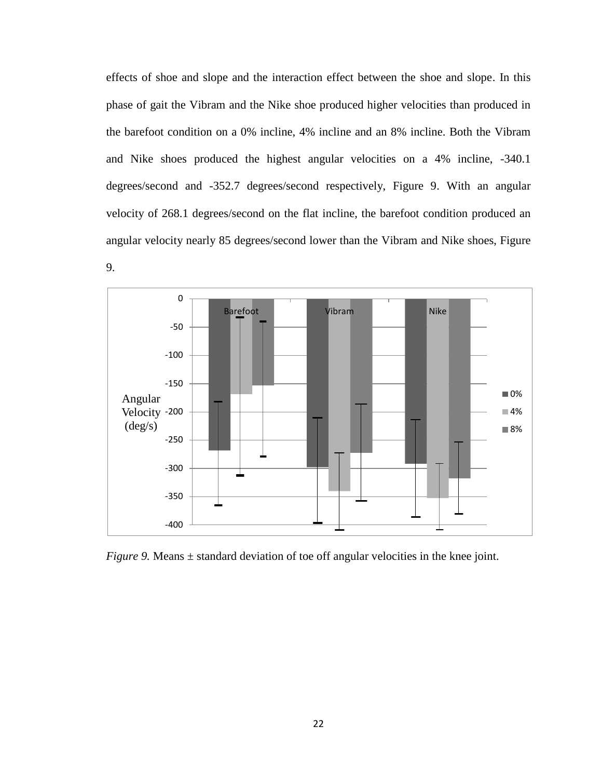effects of shoe and slope and the interaction effect between the shoe and slope. In this phase of gait the Vibram and the Nike shoe produced higher velocities than produced in the barefoot condition on a 0% incline, 4% incline and an 8% incline. Both the Vibram and Nike shoes produced the highest angular velocities on a 4% incline, -340.1 degrees/second and -352.7 degrees/second respectively, Figure 9. With an angular velocity of 268.1 degrees/second on the flat incline, the barefoot condition produced an angular velocity nearly 85 degrees/second lower than the Vibram and Nike shoes, Figure



*Figure 9.* Means  $\pm$  standard deviation of toe off angular velocities in the knee joint.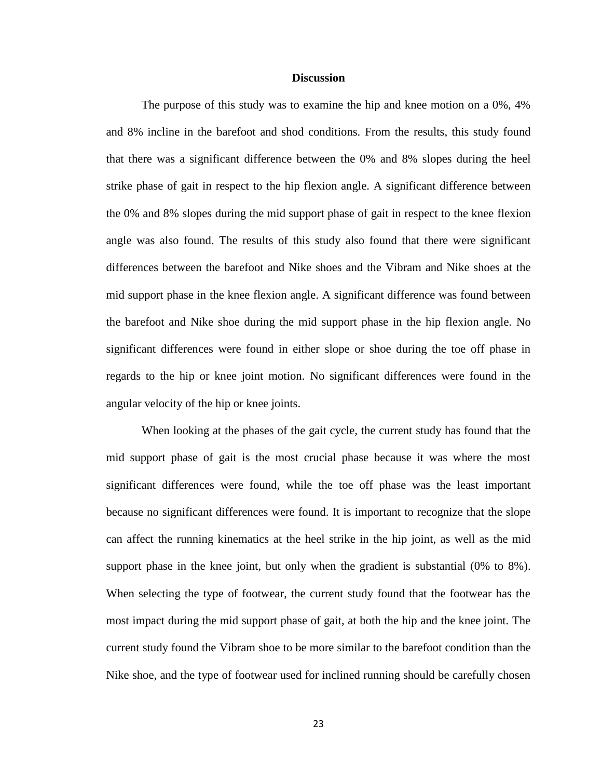#### **Discussion**

The purpose of this study was to examine the hip and knee motion on a 0%, 4% and 8% incline in the barefoot and shod conditions. From the results, this study found that there was a significant difference between the 0% and 8% slopes during the heel strike phase of gait in respect to the hip flexion angle. A significant difference between the 0% and 8% slopes during the mid support phase of gait in respect to the knee flexion angle was also found. The results of this study also found that there were significant differences between the barefoot and Nike shoes and the Vibram and Nike shoes at the mid support phase in the knee flexion angle. A significant difference was found between the barefoot and Nike shoe during the mid support phase in the hip flexion angle. No significant differences were found in either slope or shoe during the toe off phase in regards to the hip or knee joint motion. No significant differences were found in the angular velocity of the hip or knee joints.

When looking at the phases of the gait cycle, the current study has found that the mid support phase of gait is the most crucial phase because it was where the most significant differences were found, while the toe off phase was the least important because no significant differences were found. It is important to recognize that the slope can affect the running kinematics at the heel strike in the hip joint, as well as the mid support phase in the knee joint, but only when the gradient is substantial (0% to 8%). When selecting the type of footwear, the current study found that the footwear has the most impact during the mid support phase of gait, at both the hip and the knee joint. The current study found the Vibram shoe to be more similar to the barefoot condition than the Nike shoe, and the type of footwear used for inclined running should be carefully chosen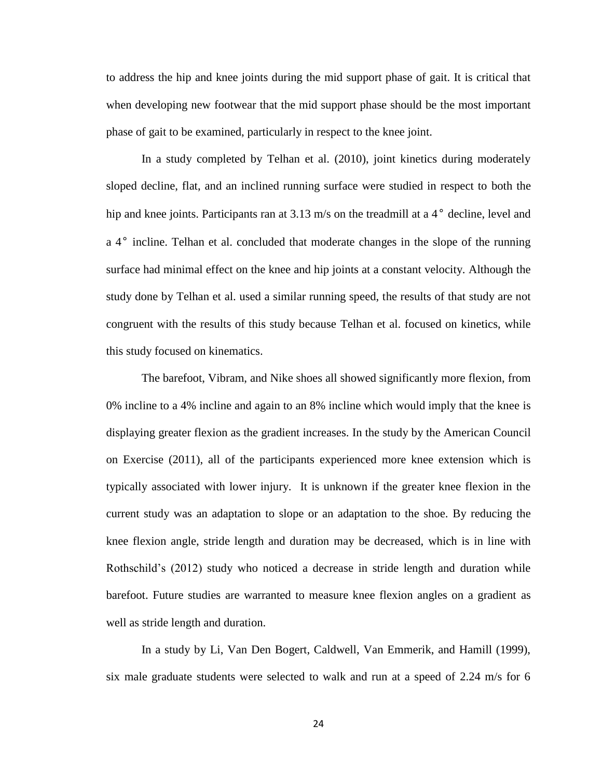to address the hip and knee joints during the mid support phase of gait. It is critical that when developing new footwear that the mid support phase should be the most important phase of gait to be examined, particularly in respect to the knee joint.

In a study completed by Telhan et al. (2010), joint kinetics during moderately sloped decline, flat, and an inclined running surface were studied in respect to both the hip and knee joints. Participants ran at 3.13 m/s on the treadmill at a 4<sup>°</sup> decline, level and a 4° incline. Telhan et al. concluded that moderate changes in the slope of the running surface had minimal effect on the knee and hip joints at a constant velocity. Although the study done by Telhan et al. used a similar running speed, the results of that study are not congruent with the results of this study because Telhan et al. focused on kinetics, while this study focused on kinematics.

The barefoot, Vibram, and Nike shoes all showed significantly more flexion, from 0% incline to a 4% incline and again to an 8% incline which would imply that the knee is displaying greater flexion as the gradient increases. In the study by the American Council on Exercise (2011), all of the participants experienced more knee extension which is typically associated with lower injury. It is unknown if the greater knee flexion in the current study was an adaptation to slope or an adaptation to the shoe. By reducing the knee flexion angle, stride length and duration may be decreased, which is in line with Rothschild's (2012) study who noticed a decrease in stride length and duration while barefoot. Future studies are warranted to measure knee flexion angles on a gradient as well as stride length and duration.

In a study by Li, Van Den Bogert, Caldwell, Van Emmerik, and Hamill (1999), six male graduate students were selected to walk and run at a speed of 2.24 m/s for 6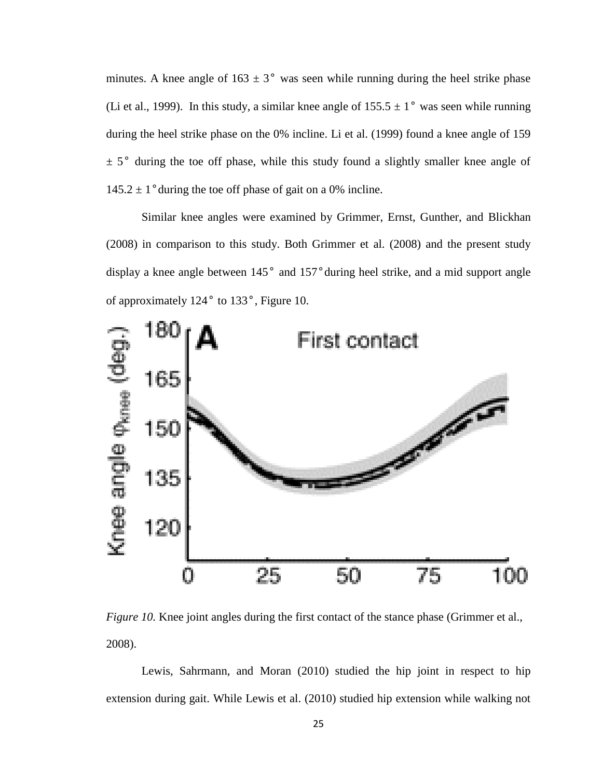minutes. A knee angle of  $163 \pm 3^\circ$  was seen while running during the heel strike phase (Li et al., 1999). In this study, a similar knee angle of  $155.5 \pm 1^{\circ}$  was seen while running during the heel strike phase on the 0% incline. Li et al. (1999) found a knee angle of 159  $\pm$  5° during the toe off phase, while this study found a slightly smaller knee angle of  $145.2 \pm 1$ ° during the toe off phase of gait on a 0% incline.

Similar knee angles were examined by Grimmer, Ernst, Gunther, and Blickhan (2008) in comparison to this study. Both Grimmer et al. (2008) and the present study display a knee angle between 145° and 157°during heel strike, and a mid support angle of approximately 124° to 133°, Figure 10.



*Figure 10.* Knee joint angles during the first contact of the stance phase (Grimmer et al., 2008).

Lewis, Sahrmann, and Moran (2010) studied the hip joint in respect to hip extension during gait. While Lewis et al. (2010) studied hip extension while walking not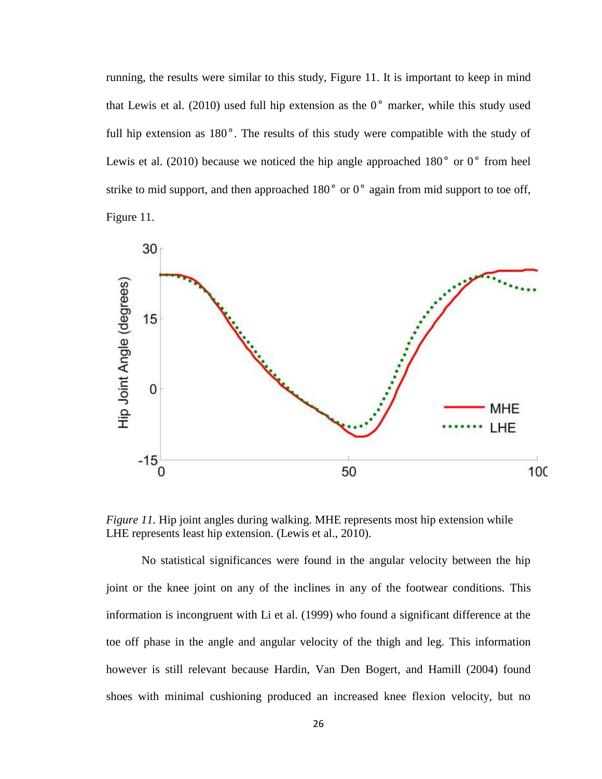running, the results were similar to this study, Figure 11. It is important to keep in mind that Lewis et al. (2010) used full hip extension as the  $0^{\circ}$  marker, while this study used full hip extension as 180°. The results of this study were compatible with the study of Lewis et al. (2010) because we noticed the hip angle approached 180<sup>°</sup> or 0<sup>°</sup> from heel strike to mid support, and then approached 180° or 0° again from mid support to toe off, Figure 11.



*Figure 11.* Hip joint angles during walking. MHE represents most hip extension while LHE represents least hip extension. (Lewis et al., 2010).

No statistical significances were found in the angular velocity between the hip joint or the knee joint on any of the inclines in any of the footwear conditions. This information is incongruent with Li et al. (1999) who found a significant difference at the toe off phase in the angle and angular velocity of the thigh and leg. This information however is still relevant because Hardin, Van Den Bogert, and Hamill (2004) found shoes with minimal cushioning produced an increased knee flexion velocity, but no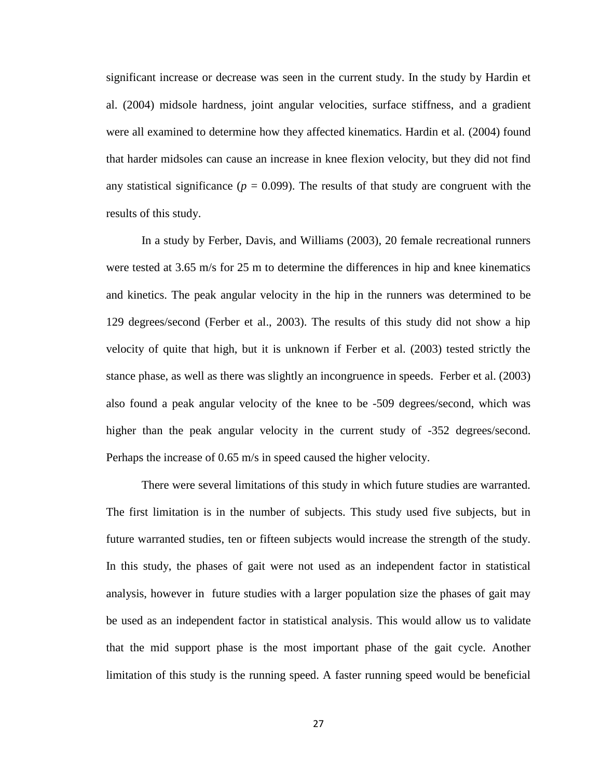significant increase or decrease was seen in the current study. In the study by Hardin et al. (2004) midsole hardness, joint angular velocities, surface stiffness, and a gradient were all examined to determine how they affected kinematics. Hardin et al. (2004) found that harder midsoles can cause an increase in knee flexion velocity, but they did not find any statistical significance ( $p = 0.099$ ). The results of that study are congruent with the results of this study.

In a study by Ferber, Davis, and Williams (2003), 20 female recreational runners were tested at 3.65 m/s for 25 m to determine the differences in hip and knee kinematics and kinetics. The peak angular velocity in the hip in the runners was determined to be 129 degrees/second (Ferber et al., 2003). The results of this study did not show a hip velocity of quite that high, but it is unknown if Ferber et al. (2003) tested strictly the stance phase, as well as there was slightly an incongruence in speeds. Ferber et al. (2003) also found a peak angular velocity of the knee to be -509 degrees/second, which was higher than the peak angular velocity in the current study of  $-352$  degrees/second. Perhaps the increase of 0.65 m/s in speed caused the higher velocity.

There were several limitations of this study in which future studies are warranted. The first limitation is in the number of subjects. This study used five subjects, but in future warranted studies, ten or fifteen subjects would increase the strength of the study. In this study, the phases of gait were not used as an independent factor in statistical analysis, however in future studies with a larger population size the phases of gait may be used as an independent factor in statistical analysis. This would allow us to validate that the mid support phase is the most important phase of the gait cycle. Another limitation of this study is the running speed. A faster running speed would be beneficial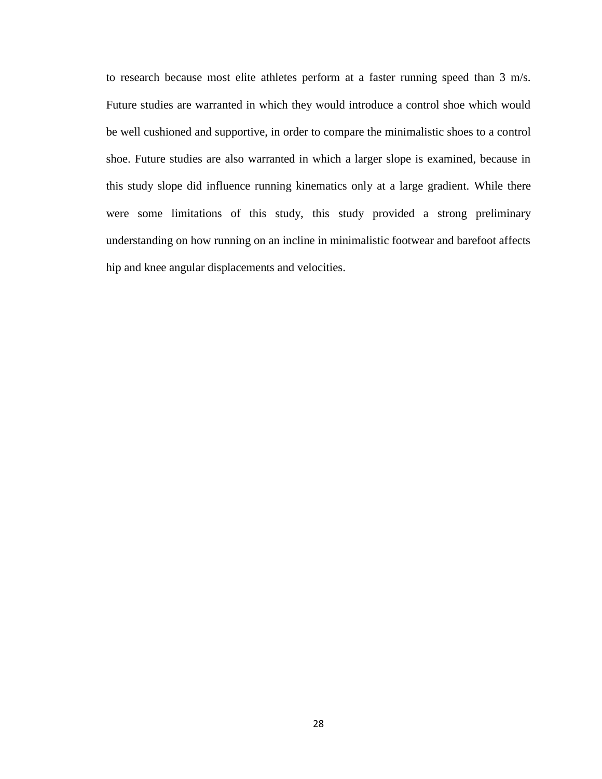to research because most elite athletes perform at a faster running speed than 3 m/s. Future studies are warranted in which they would introduce a control shoe which would be well cushioned and supportive, in order to compare the minimalistic shoes to a control shoe. Future studies are also warranted in which a larger slope is examined, because in this study slope did influence running kinematics only at a large gradient. While there were some limitations of this study, this study provided a strong preliminary understanding on how running on an incline in minimalistic footwear and barefoot affects hip and knee angular displacements and velocities.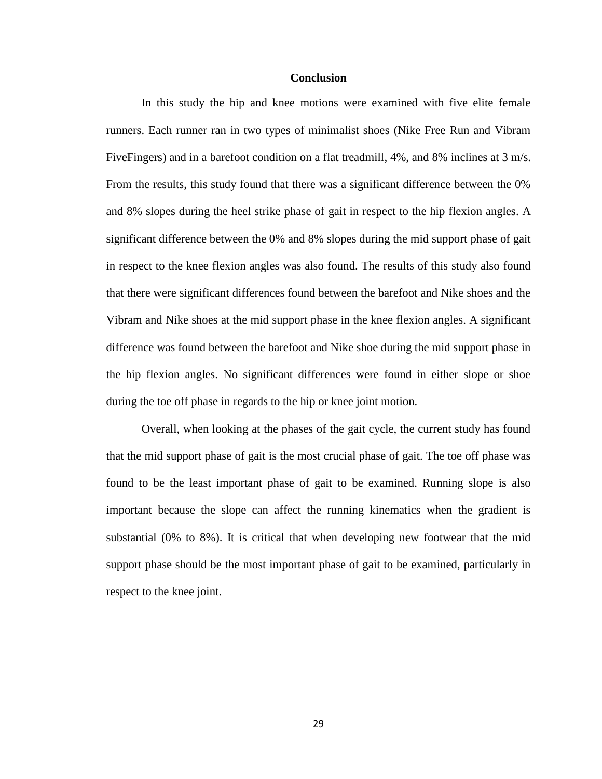#### **Conclusion**

In this study the hip and knee motions were examined with five elite female runners. Each runner ran in two types of minimalist shoes (Nike Free Run and Vibram FiveFingers) and in a barefoot condition on a flat treadmill, 4%, and 8% inclines at 3 m/s. From the results, this study found that there was a significant difference between the 0% and 8% slopes during the heel strike phase of gait in respect to the hip flexion angles. A significant difference between the 0% and 8% slopes during the mid support phase of gait in respect to the knee flexion angles was also found. The results of this study also found that there were significant differences found between the barefoot and Nike shoes and the Vibram and Nike shoes at the mid support phase in the knee flexion angles. A significant difference was found between the barefoot and Nike shoe during the mid support phase in the hip flexion angles. No significant differences were found in either slope or shoe during the toe off phase in regards to the hip or knee joint motion.

Overall, when looking at the phases of the gait cycle, the current study has found that the mid support phase of gait is the most crucial phase of gait. The toe off phase was found to be the least important phase of gait to be examined. Running slope is also important because the slope can affect the running kinematics when the gradient is substantial (0% to 8%). It is critical that when developing new footwear that the mid support phase should be the most important phase of gait to be examined, particularly in respect to the knee joint.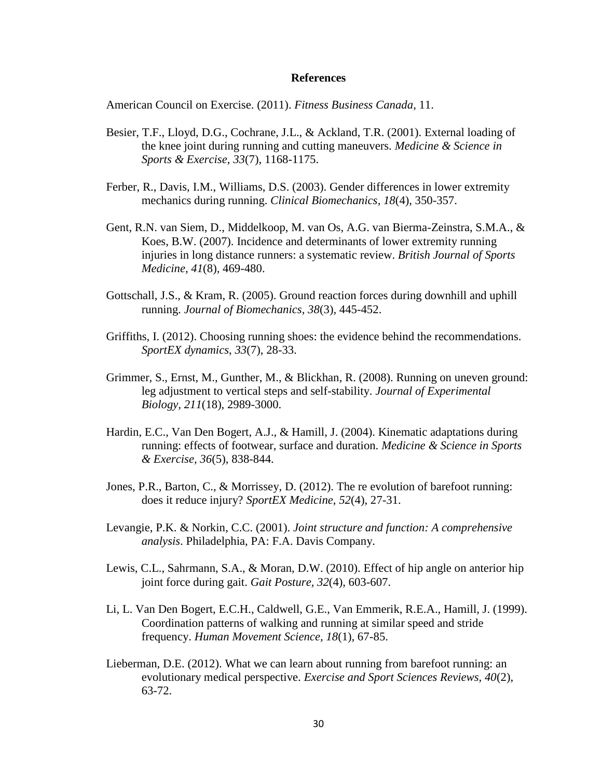#### **References**

American Council on Exercise. (2011). *Fitness Business Canada,* 11.

- Besier, T.F., Lloyd, D.G., Cochrane, J.L., & Ackland, T.R. (2001). External loading of the knee joint during running and cutting maneuvers. *Medicine & Science in Sports & Exercise, 33*(7), 1168-1175.
- Ferber, R., Davis, I.M., Williams, D.S. (2003). Gender differences in lower extremity mechanics during running. *Clinical Biomechanics, 18*(4), 350-357.
- Gent, R.N. van Siem, D., Middelkoop, M. van Os, A.G. van Bierma-Zeinstra, S.M.A., & Koes, B.W. (2007). Incidence and determinants of lower extremity running injuries in long distance runners: a systematic review. *British Journal of Sports Medicine, 41*(8)*,* 469-480.
- Gottschall, J.S., & Kram, R. (2005). Ground reaction forces during downhill and uphill running. *Journal of Biomechanics, 38*(3)*,* 445-452.
- Griffiths, I. (2012). Choosing running shoes: the evidence behind the recommendations. *SportEX dynamics*, *33*(7), 28-33.
- Grimmer, S., Ernst, M., Gunther, M., & Blickhan, R. (2008). Running on uneven ground: leg adjustment to vertical steps and self-stability. *Journal of Experimental Biology, 211*(18), 2989-3000.
- Hardin, E.C., Van Den Bogert, A.J., & Hamill, J. (2004). Kinematic adaptations during running: effects of footwear, surface and duration. *Medicine & Science in Sports & Exercise, 36*(5), 838-844.
- Jones, P.R., Barton, C., & Morrissey, D. (2012). The re evolution of barefoot running: does it reduce injury? *SportEX Medicine*, *52*(4), 27-31.
- Levangie, P.K. & Norkin, C.C. (2001). *Joint structure and function: A comprehensive analysis*. Philadelphia, PA: F.A. Davis Company.
- Lewis, C.L., Sahrmann, S.A., & Moran, D.W. (2010). Effect of hip angle on anterior hip joint force during gait. *Gait Posture, 32*(4), 603-607.
- Li, L. Van Den Bogert, E.C.H., Caldwell, G.E., Van Emmerik, R.E.A., Hamill, J. (1999). Coordination patterns of walking and running at similar speed and stride frequency. *Human Movement Science, 18*(1)*,* 67-85.
- Lieberman, D.E. (2012). What we can learn about running from barefoot running: an evolutionary medical perspective. *Exercise and Sport Sciences Reviews, 40*(2), 63-72.